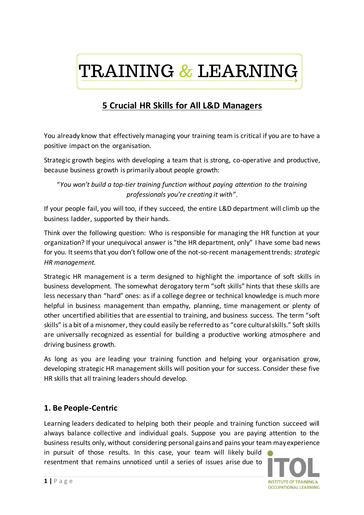

# **5 Crucial HR Skills for All L&D Managers**

You already know that effectively managing your training team is critical if you are to have a positive impact on the organisation.

Strategic growth begins with developing a team that is strong, co-operative and productive, because business growth is primarily about people growth:

"*You won't build a top-tier training function without paying attention to the training professionals you're creating it with"*.

If your people fail, you will too, if they succeed, the entire L&D department will climb up the business ladder, supported by their hands.

Think over the following question: Who is responsible for managing the HR function at your organization? If your unequivocal answer is "the HR department, only" I have some bad news for you. It seems that you don't follow one of the not-so-recent management trends: *strategic HR management.*

Strategic HR management is a term designed to highlight the importance of soft skills in business development. The somewhat derogatory term "soft skills" hints that these skills are less necessary than "hard" ones: as if a college degree or technical knowledge is much more helpful in business management than empathy, planning, time management or plenty of other uncertified abilities that are essential to training, and business success. The term "soft skills" is a bit of a misnomer, they could easily be referred to as "core cultural skills." Soft skills are universally recognized as essential for building a productive working atmosphere and driving business growth.

As long as you are leading your training function and helping your organisation grow, developing strategic HR management skills will position your for success. Consider these five HR skills that all training leaders should develop.

#### **1. Be People-Centric**

Learning leaders dedicated to helping both their people and training function succeed will always balance collective and individual goals. Suppose you are paying attention to the business results only, without considering personal gains and pains your team may experience

in pursuit of those results. In this case, your team will likely build resentment that remains unnoticed until a series of issues arise due to

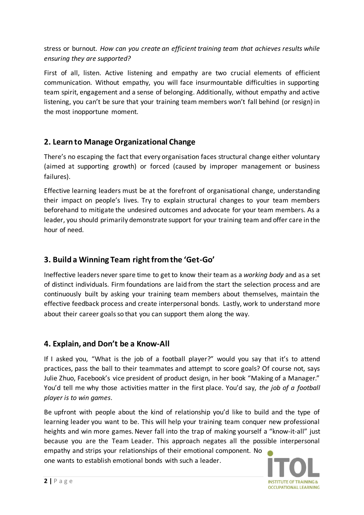stress or burnout. *How can you create an efficient training team that achieves results while ensuring they are supported?*

First of all, listen. Active listening and empathy are two crucial elements of efficient communication. Without empathy, you will face insurmountable difficulties in supporting team spirit, engagement and a sense of belonging. Additionally, without empathy and active listening, you can't be sure that your training team members won't fall behind (or resign) in the most inopportune moment.

## **2. Learn to Manage Organizational Change**

There's no escaping the fact that every organisation faces structural change either voluntary (aimed at supporting growth) or forced (caused by improper management or business failures).

Effective learning leaders must be at the forefront of organisational change, understanding their impact on people's lives. Try to explain structural changes to your team members beforehand to mitigate the undesired outcomes and advocate for your team members. As a leader, you should primarily demonstrate support for your training team and offer care in the hour of need.

# **3. Build a Winning Team right from the 'Get-Go'**

Ineffective leaders never spare time to get to know their team as a *working body* and as a set of distinct individuals. Firm foundations are laid from the start the selection process and are continuously built by asking your training team members about themselves, maintain the effective feedback process and create interpersonal bonds. Lastly, work to understand more about their career goals so that you can support them along the way.

#### **4. Explain, and Don't be a Know-All**

If I asked you, "What is the job of a football player?" would you say that it's to attend practices, pass the ball to their teammates and attempt to score goals? Of course not, says Julie Zhuo, Facebook's vice president of product design, in her book "Making of a Manager." You'd tell me why those activities matter in the first place. You'd say, *the job of a football player is to win games*.

Be upfront with people about the kind of relationship you'd like to build and the type of learning leader you want to be. This will help your training team conquer new professional heights and win more games. Never fall into the trap of making yourself a "know-it-all" just because you are the Team Leader. This approach negates all the possible interpersonal empathy and strips your relationships of their emotional component. No one wants to establish emotional bonds with such a leader.